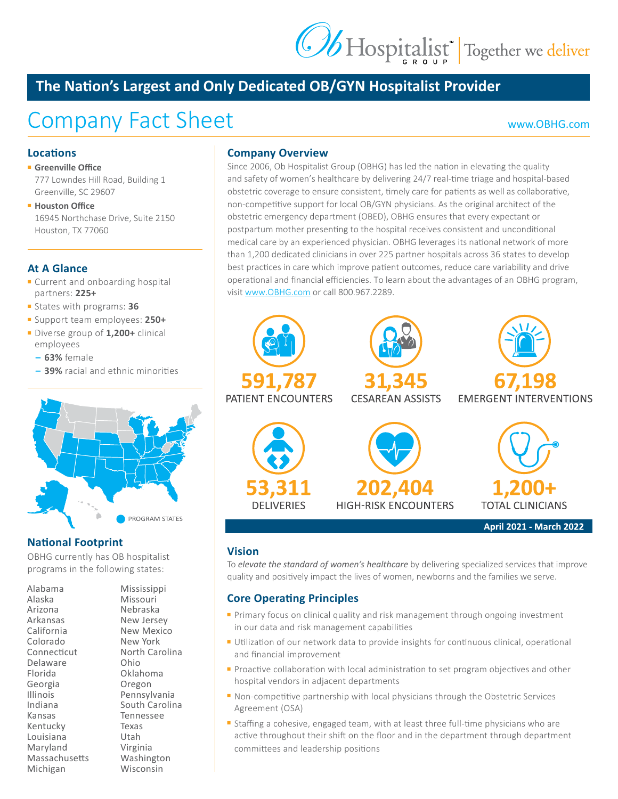# Ob Hospitalist<sup>+</sup> Together we deliver

### **The Nation's Largest and Only Dedicated OB/GYN Hospitalist Provider**

## Company Fact Sheet [www.OBHG.com](http://www.OBHG.com)

#### **Locations**

#### ■ **Greenville Office**

777 Lowndes Hill Road, Building 1 Greenville, SC 29607

■ **Houston Office** 16945 Northchase Drive, Suite 2150 Houston, TX 77060

#### **At A Glance**

- Current and onboarding hospital partners: **225+**
- States with programs: **36**
- Support team employees: **250+**
- Diverse group of **1,200+** clinical employees
	- **– 63%** female
	- **– 39%** racial and ethnic minorities



#### **National Footprint**

OBHG currently has OB hospitalist programs in the following states:

| Alabama         |
|-----------------|
| Alaska          |
| Arizona         |
| Arkansas        |
| California      |
| Colorado        |
| Connecticut     |
| Delaware        |
| Florida         |
| Georgia         |
| <b>Illinois</b> |
| Indiana         |
| Kansas          |
| Kentucky        |
| Louisiana       |
| Maryland        |
| Massachusetts   |
| Michigan        |

Mississippi Missouri Nebraska New Jersey New Mexico New York North Carolina Ohio Oklahoma Oregon Pennsylvania South Carolina Tennessee Texas Utah Virginia Washington Wisconsin

#### **Company Overview**

Since 2006, Ob Hospitalist Group (OBHG) has led the nation in elevating the quality and safety of women's healthcare by delivering 24/7 real-time triage and hospital-based obstetric coverage to ensure consistent, timely care for patients as well as collaborative, non-competitive support for local OB/GYN physicians. As the original architect of the obstetric emergency department (OBED), OBHG ensures that every expectant or postpartum mother presenting to the hospital receives consistent and unconditional medical care by an experienced physician. OBHG leverages its national network of more than 1,200 dedicated clinicians in over 225 partner hospitals across 36 states to develop best practices in care which improve patient outcomes, reduce care variability and drive operational and financial efficiencies. To learn about the advantages of an OBHG program, visit [www.OBHG.com](http://www.OBHG.com) or call 800.967.2289.



#### **Vision**

To *elevate the standard of women's healthcare* by delivering specialized services that improve quality and positively impact the lives of women, newborns and the families we serve.

#### **Core Operating Principles**

- Primary focus on clinical quality and risk management through ongoing investment in our data and risk management capabilities
- Utilization of our network data to provide insights for continuous clinical, operational and financial improvement
- Proactive collaboration with local administration to set program objectives and other hospital vendors in adjacent departments
- Non-competitive partnership with local physicians through the Obstetric Services Agreement (OSA)
- Staffing a cohesive, engaged team, with at least three full-time physicians who are active throughout their shift on the floor and in the department through department committees and leadership positions